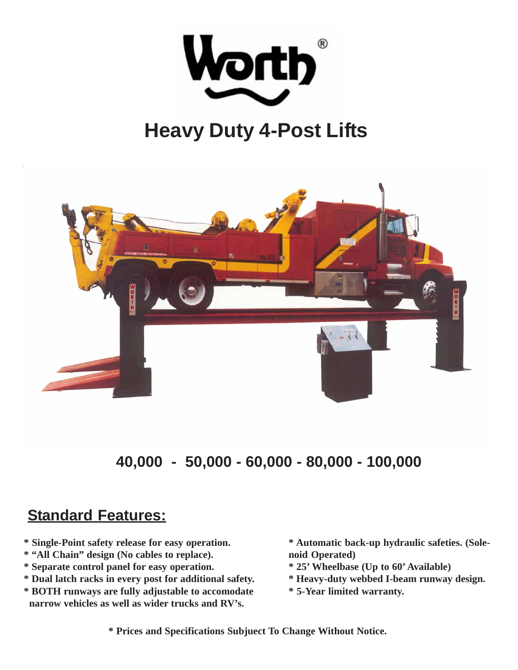

## **Heavy Duty 4-Post Lifts**



**40,000 - 50,000 - 60,000 - 80,000 - 100,000**

## **Standard Features:**

- **\* Single-Point safety release for easy operation.**
- **\* "All Chain" design (No cables to replace).**
- **\* Separate control panel for easy operation.**
- **\* Dual latch racks in every post for additional safety.**
- **\* BOTH runways are fully adjustable to accomodate narrow vehicles as well as wider trucks and RV's.**

**\* Automatic back-up hydraulic safeties. (Solenoid Operated)**

- **\* 25' Wheelbase (Up to 60' Available)**
- **\* Heavy-duty webbed I-beam runway design.**
- **\* 5-Year limited warranty.**

**\* Prices and Specifications Subjuect To Change Without Notice.**